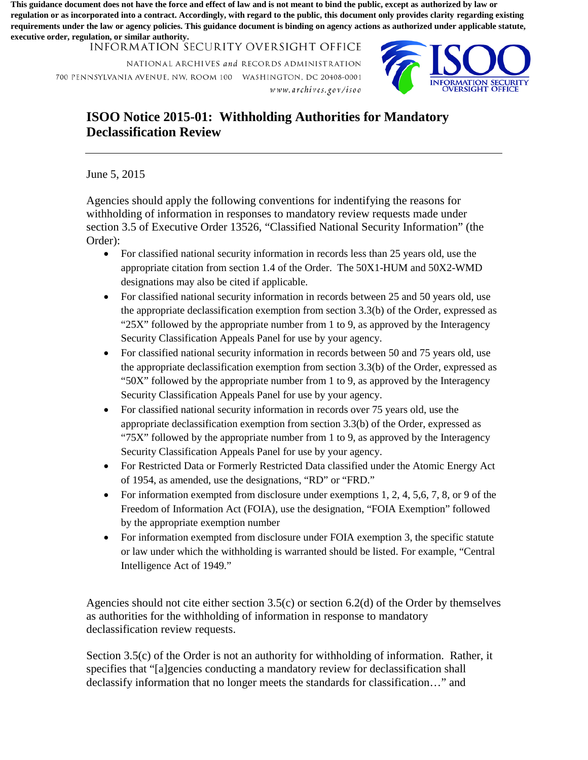**This guidance document does not have the force and effect of law and is not meant to bind the public, except as authorized by law or regulation or as incorporated into a contract. Accordingly, with regard to the public, this document only provides clarity regarding existing requirements under the law or agency policies. This guidance document is binding on agency actions as authorized under applicable statute, executive order, regulation, or similar authority.**

INFORMATION SECURITY OVERSIGHT OFFICE

NATIONAL ARCHIVES *and* RECORDS ADMINISTRATION 700 PENNSYLVANIA AVENUE. NW, ROOM 100 WASHINGTON, DC 20408-0001 *w ww. a re hi* 1*1es .gov Ii so o* 



## **ISOO Notice 2015-01: Withholding Authorities for Mandatory Declassification Review**

June 5, 2015

 Agencies should apply the following conventions for indentifying the reasons for withholding of information in responses to mandatory review requests made under section 3.5 of Executive Order 13526, "Classified National Security Information" (the Order):

- • For classified national security information in records less than 25 years old, use the appropriate citation from section 1.4 of the Order. The 50X1-HUM and 50X2-WMD designations may also be cited if applicable.
- For classified national security information in records between 25 and 50 years old, use the appropriate declassification exemption from section 3.3(b) of the Order, expressed as "25X" followed by the appropriate number from 1 to 9, as approved by the Interagency Security Classification Appeals Panel for use by your agency.
- Security Classification Appeals Panel for use by your agency. • For classified national security information in records between 50 and 75 years old, use the appropriate declassification exemption from section 3.3(b) of the Order, expressed as "50X" followed by the appropriate number from 1 to 9, as approved by the Interagency
- Security Classification Appeals Panel for use by your agency. • For classified national security information in records over 75 years old, use the appropriate declassification exemption from section 3.3(b) of the Order, expressed as "75X" followed by the appropriate number from 1 to 9, as approved by the Interagency
- For Restricted Data or Formerly Restricted Data classified under the Atomic Energy Act of 1954, as amended, use the designations, "RD" or "FRD."
- For information exempted from disclosure under exemptions  $1, 2, 4, 5, 6, 7, 8$ , or 9 of the Freedom of Information Act (FOIA), use the designation, "FOIA Exemption" followed by the appropriate exemption number
- For information exempted from disclosure under FOIA exemption 3, the specific statute or law under which the withholding is warranted should be listed. For example, "Central Intelligence Act of 1949."

Agencies should not cite either section  $3.5(c)$  or section  $6.2(d)$  of the Order by themselves as authorities for the withholding of information in response to mandatory declassification review requests.

 specifies that "[a]gencies conducting a mandatory review for declassification shall Section 3.5(c) of the Order is not an authority for withholding of information. Rather, it declassify information that no longer meets the standards for classification…" and